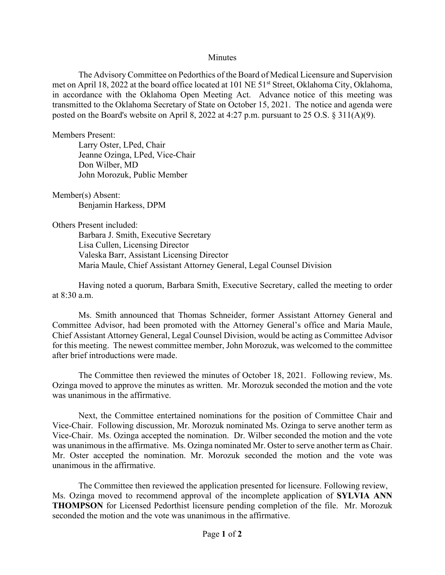## **Minutes**

The Advisory Committee on Pedorthics of the Board of Medical Licensure and Supervision met on April 18, 2022 at the board office located at 101 NE 51<sup>st</sup> Street, Oklahoma City, Oklahoma, in accordance with the Oklahoma Open Meeting Act. Advance notice of this meeting was transmitted to the Oklahoma Secretary of State on October 15, 2021. The notice and agenda were posted on the Board's website on April 8, 2022 at 4:27 p.m. pursuant to 25 O.S. § 311(A)(9).

Members Present:

Larry Oster, LPed, Chair Jeanne Ozinga, LPed, Vice-Chair Don Wilber, MD John Morozuk, Public Member

Member(s) Absent: Benjamin Harkess, DPM

Others Present included:

Barbara J. Smith, Executive Secretary Lisa Cullen, Licensing Director Valeska Barr, Assistant Licensing Director Maria Maule, Chief Assistant Attorney General, Legal Counsel Division

Having noted a quorum, Barbara Smith, Executive Secretary, called the meeting to order at 8:30 a.m.

Ms. Smith announced that Thomas Schneider, former Assistant Attorney General and Committee Advisor, had been promoted with the Attorney General's office and Maria Maule, Chief Assistant Attorney General, Legal Counsel Division, would be acting as Committee Advisor for this meeting. The newest committee member, John Morozuk, was welcomed to the committee after brief introductions were made.

The Committee then reviewed the minutes of October 18, 2021. Following review, Ms. Ozinga moved to approve the minutes as written. Mr. Morozuk seconded the motion and the vote was unanimous in the affirmative.

Next, the Committee entertained nominations for the position of Committee Chair and Vice-Chair. Following discussion, Mr. Morozuk nominated Ms. Ozinga to serve another term as Vice-Chair. Ms. Ozinga accepted the nomination. Dr. Wilber seconded the motion and the vote was unanimous in the affirmative. Ms. Ozinga nominated Mr. Oster to serve another term as Chair. Mr. Oster accepted the nomination. Mr. Morozuk seconded the motion and the vote was unanimous in the affirmative.

The Committee then reviewed the application presented for licensure. Following review, Ms. Ozinga moved to recommend approval of the incomplete application of **SYLVIA ANN THOMPSON** for Licensed Pedorthist licensure pending completion of the file. Mr. Morozuk seconded the motion and the vote was unanimous in the affirmative.